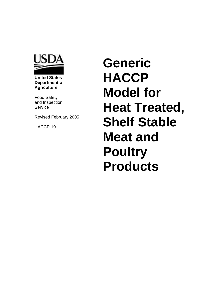

 **United States Department of Agriculture** 

Food Safety and Inspection Service

Revised February 2005

HACCP-10

**Generic HACCP Model for Heat Treated, Shelf Stable Meat and Poultry Products**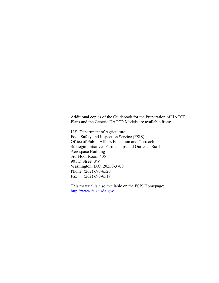Additional copies of the Guidebook for the Preparation of HACCP Plans and the Generic HACCP Models are available from:

U.S. Department of Agriculture Food Safety and Inspection Service (FSIS) Office of Public Affairs Education and Outreach Strategic Initiatives Partnerships and Outreach Staff Aerospace Building 3rd Floor Room 405 901 D Street SW Washington, D.C. 20250-3700 Phone: (202) 690-6520 Fax: (202) 690-6519

This material is also available on the FSIS Homepage: [http://www.fsis.usda.gov](http://www.fsis.usda.gov/)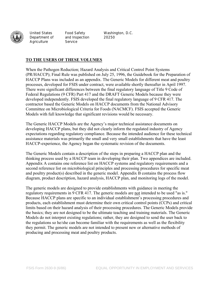

Department of and Inspection 20250 Agriculture Service

United States Food Safety Washington, D.C.

### **TO THE USERS OF THESE VOLUMES**

When the Pathogen Reduction; Hazard Analysis and Critical Control Point Systems (PR/HACCP); Final Rule was published on July 25, 1996, the Guidebook for the Preparation of HACCP Plans was included as an appendix. The Generic Models for different meat and poultry processes, developed for FSIS under contract, were available shortly thereafter in April 1997. There were significant differences between the final regulatory language of Title 9 Code of Federal Regulations (9 CFR) Part 417 and the DRAFT Generic Models because they were developed independently. FSIS developed the final regulatory language of 9 CFR 417. The contractor based the Generic Models on HACCP documents from the National Advisory Committee on Microbiological Criteria for Foods (NACMCF). FSIS accepted the Generic Models with full knowledge that significant revisions would be necessary.

The Generic HACCP Models are the Agency's major technical assistance documents on developing HACCP plans, but they did not clearly inform the regulated industry of Agency expectations regarding regulatory compliance. Because the intended audience for these technical assistance materials was primarily the small and very small establishments that have the least HACCP-experience, the Agency began the systematic revision of the documents.

The Generic Models contain a description of the steps in preparing a HACCP plan and the thinking process used by a HACCP team in developing their plan. Two appendices are included. Appendix A contains one reference list on HACCP systems and regulatory requirements and a second reference list on microbiological principles and processing procedures for specific meat and poultry product(s) described in the generic model. Appendix B contains the process flow diagram, product description, hazard analysis, HACCP plan, and monitoring logs of the model.

The generic models are designed to provide establishments with guidance in meeting the regulatory requirements in 9 CFR 417. The generic models are not intended to be used "as is." Because HACCP plans are specific to an individual establishment's processing procedures and products, each establishment must determine their own critical control points (CCPs) and critical limits based on their hazard analysis of their processing procedures. The Generic Models provide the basics; they are not designed to be the ultimate teaching and training materials. The Generic Models do not interpret existing regulations; rather, they are designed to send the user back to the regulations so he/she can become familiar with the requirements as well as the flexibility they permit. The generic models are not intended to present new or alternative methods of producing and processing meat and poultry products.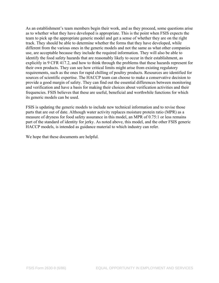As an establishment's team members begin their work, and as they proceed, some questions arise as to whether what they have developed is appropriate. This is the point when FSIS expects the team to pick up the appropriate generic model and get a sense of whether they are on the right track. They should be able to determine whether the forms that they have developed, while different from the various ones in the generic models and not the same as what other companies use, are acceptable because they include the required information. They will also be able to identify the food safety hazards that are reasonably likely to occur in their establishment, as explicitly in 9 CFR 417.2, and how to think through the problems that these hazards represent for their own products. They can see how critical limits might arise from existing regulatory requirements, such as the ones for rapid chilling of poultry products. Resources are identified for sources of scientific expertise. The HACCP team can choose to make a conservative decision to provide a good margin of safety. They can find out the essential differences between monitoring and verification and have a basis for making their choices about verification activities and their frequencies. FSIS believes that these are useful, beneficial and worthwhile functions for which its generic models can be used.

FSIS is updating the generic models to include new technical information and to revise those parts that are out of date. Although water activity replaces moisture protein ratio (MPR) as a measure of dryness for food safety assurance in this model, an MPR of 0.75:1 or less remains part of the standard of identity for jerky. As noted above, this model, and the other FSIS generic HACCP models, is intended as guidance material to which industry can refer.

We hope that these documents are helpful.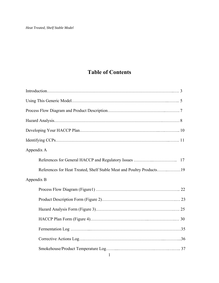## **Table of Contents**

| Appendix A                                                            |  |
|-----------------------------------------------------------------------|--|
|                                                                       |  |
| References for Heat Treated, Shelf Stable Meat and Poultry Products19 |  |
| Appendix B                                                            |  |
|                                                                       |  |
|                                                                       |  |
|                                                                       |  |
|                                                                       |  |
|                                                                       |  |
|                                                                       |  |
|                                                                       |  |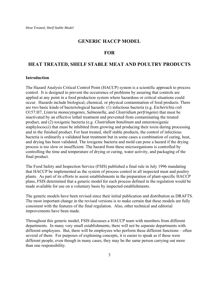### **GENERIC HACCP MODEL**

### **FOR**

### **HEAT TREATED, SHELF STABLE MEAT AND POULTRY PRODUCTS**

### **Introduction**

The Hazard Analysis Critical Control Point (HACCP) system is a scientific approach to process control. It is designed to prevent the occurrence of problems by assuring that controls are applied at any point in a food production system where hazardous or critical situations could occur. Hazards include biological, chemical, or physical contamination of food products. There are two basic kinds of bacteriological hazards: (1) infectious bacteria (e.g. *Escherichia coli*  O157:H7, *Listeria monocytogenes*, *Salmonella*, and *Clostridium perfringens*) that must be inactivated by an effective lethal treatment and prevented from contaminating the treated product, and (2) toxigenic bacteria (e.g. *Clostridium botulinum* and enterotoxigenic staphylococci) that must be inhibited from growing and producing their toxin during processing and in the finished product. For heat treated, shelf stable products, the control of infectious bacteria is ordinarily a validated heat treatment but in some cases a combination of curing, heat, and drying has been validated. The toxigenic bacteria and mold can pose a hazard if the drying process is too slow or insufficient. The hazard from these microorganisms is controlled by controlling the time and temperature of drying or curing, water activity, and packaging of the final product.

The Food Safety and Inspection Service (FSIS) published a final rule in July 1996 mandating that HACCP be implemented as the system of process control in all inspected meat and poultry plants. As part of its efforts to assist establishments in the preparation of plant-specific HACCP plans, FSIS determined that a generic model for each process defined in the regulation would be made available for use on a voluntary basis by inspected establishments.

The generic models have been revised since their initial publication and distribution as DRAFTS. The most important change in the revised versions is to make certain that these models are fully consistent with the features of the final regulation. Also, other technical and editorial improvements have been made.

Throughout this generic model, FSIS discusses a HACCP team with members from different departments. In many very small establishments, there will not be separate departments with different employees. But, there will be employees who perform these different functions  $-$  often several of them. For purposes of explaining concepts, it is easier to speak as if these were different people, even though in many cases, they may be the same person carrying out more than one responsibility.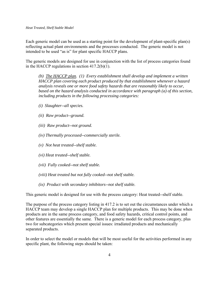Each generic model can be used as a starting point for the development of plant-specific plan(s) reflecting actual plant environments and the processes conducted. The generic model is not intended to be used "as is" for plant specific HACCP plans.

The generic models are designed for use in conjunction with the list of process categories found in the HACCP regulations in section 417.2(b)(1).

*(b) The HACCP plan. (1) Every establishment shall develop and implement a written HACCP plan covering each product produced by that establishment whenever a hazard analysis reveals one or more food safety hazards that are reasonably likely to occur, based on the hazard analysis conducted in accordance with paragraph (a) of this section, including products in the following processing categories:* 

- *(i) Slaughter--all species.*
- *(ii) Raw product--ground.*
- *(iii) Raw product--not ground.*
- *(iv) Thermally processed--commercially sterile.*
- *(v) Not heat treated--shelf stable.*
- *(vi) Heat treated--shelf stable.*
- *(vii) Fully cooked--not shelf stable.*
- *(viii) Heat treated but not fully cooked--not shelf stable.*
- *(ix) Product with secondary inhibitors--not shelf stable.*

This generic model is designed for use with the process category: Heat treated--shelf stable.

The purpose of the process category listing in 417.2 is to set out the circumstances under which a HACCP team may develop a single HACCP plan for multiple products. This may be done when products are in the same process category, and food safety hazards, critical control points, and other features are essentially the same. There is a generic model for each process category, plus two for subcategories which present special issues: irradiated products and mechanically separated products.

In order to select the model or models that will be most useful for the activities performed in any specific plant, the following steps should be taken: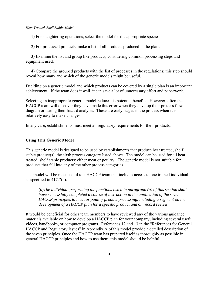1) For slaughtering operations, select the model for the appropriate species.

2) For processed products, make a list of all products produced in the plant.

 3) Examine the list and group like products, considering common processing steps and equipment used.

 4) Compare the grouped products with the list of processes in the regulations; this step should reveal how many and which of the generic models might be useful.

Deciding on a generic model and which products can be covered by a single plan is an important achievement. If the team does it well, it can save a lot of unnecessary effort and paperwork.

Selecting an inappropriate generic model reduces its potential benefits. However, often the HACCP team will discover they have made this error when they develop their process flow diagram or during their hazard analysis. These are early stages in the process when it is relatively easy to make changes.

In any case, establishments must meet all regulatory requirements for their products.

### **Using This Generic Model**

This generic model is designed to be used by establishments that produce heat treated, shelf stable product(s), the sixth process category listed above. The model can be used for all heat treated, shelf stable products: either meat or poultry. The generic model is not suitable for products that fall into any of the other process categories.

The model will be most useful to a HACCP team that includes access to one trained individual, as specified in 417.7(b).

*(b)The individual performing the functions listed in paragraph (a) of this section shall have successfully completed a course of instruction in the application of the seven HACCP principles to meat or poultry product processing, including a segment on the development of a HACCP plan for a specific product and on record review.* 

It would be beneficial for other team members to have reviewed any of the various guidance materials available on how to develop a HACCP plan for your company, including several useful videos, handbooks, or computer programs. References 12 and 13 in the "References for General HACCP and Regulatory Issues" in Appendix A of this model provide a detailed description of the seven principles. Once the HACCP team has prepared itself as thoroughly as possible in general HACCP principles and how to use them, this model should be helpful.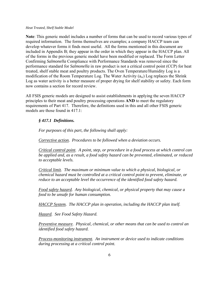**Note**: This generic model includes a number of forms that can be used to record various types of required information. The forms themselves are examples; a company HACCP team can develop whatever forms it finds most useful. All the forms mentioned in this document are included in Appendix B; they appear in the order in which they appear in the HACCP plan. All of the forms in the previous generic model have been modified or replaced. The Form Letter Confirming *Salmonella* Compliance with Performance Standards was removed since the performance standard for *Salmonella* in raw product is not a critical control point (CCP) for heat treated, shelf stable meat and poultry products. The Oven Temperature/Humidity Log is a modification of the Room Temperature Log. The Water Activity  $(a_w)$  Log replaces the Shrink Log as water activity is a better measure of proper drying for shelf stability or safety. Each form now contains a section for record review.

All FSIS generic models are designed to assist establishments in applying the seven HACCP principles to their meat and poultry processing operations **AND** to meet the regulatory requirements of Part 417. Therefore, the definitions used in this and all other FSIS generic models are those found in 417.1:

### *§ 417.1 Definitions.*

*For purposes of this part, the following shall apply:* 

*Corrective action. Procedures to be followed when a deviation occurs.* 

*Critical control point. A point, step, or procedure in a food process at which control can be applied and, as a result, a food safety hazard can be prevented, eliminated, or reduced to acceptable levels.* 

*Critical limit. The maximum or minimum value to which a physical, biological, or chemical hazard must be controlled at a critical control point to prevent, eliminate, or reduce to an acceptable level the occurrence of the identified food safety hazard.* 

*Food safety hazard. Any biological, chemical, or physical property that may cause a food to be unsafe for human consumption.* 

*HACCP System. The HACCP plan in operation, including the HACCP plan itself.* 

*Hazard. See Food Safety Hazard.* 

*Preventive measure. Physical, chemical, or other means that can be used to control an identified food safety hazard.* 

*Process-monitoring instrument. An instrument or device used to indicate conditions during processing at a critical control point.*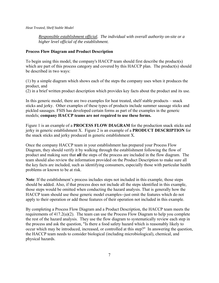*Responsible establishment official. The individual with overall authority on-site or a higher level official of the establishment.* 

### **Process Flow Diagram and Product Description**

To begin using this model, the company's HACCP team should first describe the product(s) which are part of this process category and covered by this HACCP plan. The product(s) should be described in two ways:

(1) by a simple diagram which shows each of the steps the company uses when it produces the product, and

(2) in a brief written product description which provides key facts about the product and its use.

In this generic model, there are two examples for heat treated, shelf stable products  $-$  snack sticks and jerky. Other examples of these types of products include summer sausage sticks and pickled sausages. FSIS has developed certain forms as part of the examples in the generic models; **company HACCP teams are not required to use these forms.** 

Figure 1 is an example of a **PROCESS FLOW DIAGRAM** for the production snack sticks and jerky in generic establishment X. Figure 2 is an example of a **PRODUCT DESCRIPTION** for the snack sticks and jerky produced in generic establishment X.

Once the company HACCP team in your establishment has prepared your Process Flow Diagram, they should verify it by walking through the establishment following the flow of product and making sure that **all** the steps of the process are included in the flow diagram. The team should also review the information provided on the Product Description to make sure all the key facts are included, such as identifying consumers, especially those with particular health problems or known to be at risk.

**Note**: If the establishment's process includes steps not included in this example, those steps should be added. Also, if that process does not include all the steps identified in this example, those steps would be omitted when conducting the hazard analysis. That is generally how the HACCP team should use these generic model examples--just omit the features which do not apply to their operation or add those features of their operation not included in this example.

By completing a Process Flow Diagram and a Product Description, the HACCP team meets the requirements of 417.2(a)(2). The team can use the Process Flow Diagram to help you complete the rest of the hazard analysis. They use the flow diagram to systematically review each step in the process and ask the question, "Is there a food safety hazard which is reasonably likely to occur which may be introduced, increased, or controlled at this step?" In answering the question, the HACCP team needs to consider biological (including microbiological), chemical, and physical hazards.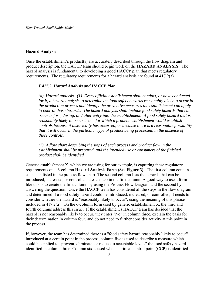### **Hazard Analysis**

Once the establishment's product(s) are accurately described through the flow diagram and product description, the HACCP team should begin work on the **HAZARD ANALYSIS**. The hazard analysis is fundamental to developing a good HACCP plan that meets regulatory requirements. The regulatory requirements for a hazard analysis are found at 417.2(a).

### *§ 417.2 Hazard Analysis and HACCP Plan***.**

*(a) Hazard analysis. (1) Every official establishment shall conduct, or have conducted for it, a hazard analysis to determine the food safety hazards reasonably likely to occur in the production process and identify the preventive measures the establishment can apply to control those hazards. The hazard analysis shall include food safety hazards that can occur before, during, and after entry into the establishment. A food safety hazard that is reasonably likely to occur is one for which a prudent establishment would establish controls because it historically has occurred, or because there is a reasonable possibility that it will occur in the particular type of product being processed, in the absence of those controls.* 

*(2) A flow chart describing the steps of each process and product flow in the establishment shall be prepared, and the intended use or consumers of the finished product shall be identified.* 

Generic establishment X, which we are using for our example, is capturing these regulatory requirements on a 6-column **Hazard Analysis Form (See Figure 3)**. The first column contains each step listed in the process flow chart. The second column lists the hazards that can be introduced, increased, or controlled at each step in the first column. A good way to use a form like this is to create the first column by using the Process Flow Diagram and the second by answering the question. Once the HACCP team has considered all the steps in the flow diagram and determined if a food safety hazard could be introduced, increased, or controlled, it needs to consider whether the hazard is "reasonably likely to occur", using the meaning of this phrase included in 417.2(a). On the 6-column form used by generic establishment X, the third and fourth columns address this issue. If the establishment's HACCP team has decided that the hazard is not reasonably likely to occur, they enter "No" in column three, explain the basis for their determination in column four, and do not need to further consider activity at this point in the process.

If, however, the team has determined there is a "food safety hazard reasonably likely to occur" introduced at a certain point in the process, column five is used to describe a measure which could be applied to "prevent, eliminate, or reduce to acceptable levels" the food safety hazard identified in column three. Column six is used when a critical control point (CCP) is identified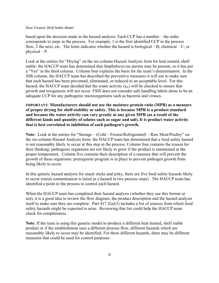based upon the decision made in the hazard analysis. Each CCP has a number – the order corresponds to steps in the process. For example, 1 is the first identified CCP in the process flow, 2 the next, etc. The letter indicates whether the hazard is biological  $-B$ ; chemical  $-C$ ; or physical  $-P$ .

Look at the entries for "Drying" on the six-column Hazard Analysis form for heat treated, shelf stable: the HACCP team has determined that *Staphylococcus aureus* may be present, so it has put a "Yes" in the third column. Column four explains the basis for the team's determination. In the fifth column, the HACCP team has described the preventive measures it will use to make sure that each hazard has been prevented, eliminated, or reduced to an acceptable level. For this hazard, the HACCP team decided that the water activity  $(a_w)$  will be checked to ensure that growth and toxigenesis will not occur. FSIS does not consider safe handling labels alone to be an adequate CCP for any pathogenic microorganisms such as bacteria and viruses.

### **IMPORTANT**: **Manufacturers should not use the moisture protein ratio (MPR) as a measure of proper drying for shelf-stability or safety. This is because MPR is a product standard and because the water activity can vary greatly at any given MPR (as a result of the different kinds and quantity of solutes such as sugar and salt). It is product water activity that is best correlated to inhibition of each pathogen's growth.**

**Note**: Look at the entries for "Storage – (Cold – Frozen/Refrigerated) – Raw Meat/Poultry" on the six-column Hazard Analysis form: the HACCP team has determined that a food safety hazard is not reasonably likely to occur at this step in the process. Column four contains the reason for their thinking: pathogenic organisms are not likely to grow if the product is maintained at the proper temperature. Column five contains their description of a measure that will prevent the growth of these organisms: prerequisite program is in place to prevent pathogen growth from being likely to occur.

In this generic hazard analysis for snack sticks and jerky, there are five food safety hazards likely to occur (metal contamination is listed as a hazard in two process steps) . The HACCP team has identified a point in the process to control each hazard.

When the HACCP team has completed their hazard analysis (whether they use this format or not), it is a good idea to review the flow diagram, the product description and the hazard analysis itself to make sure they are complete. Part 417.2(a)(3) includes a list of sources from which food safety hazards might be expected to arise. Reviewing that list could help the HACCP team check for completeness.

**Note**: If the team is using this generic model to produce a different heat treated, shelf stable product or if the establishment uses a different process flow, different hazards which are reasonably likely to occur may be identified. For these different hazards, there may be different measures that could be used for control purposes.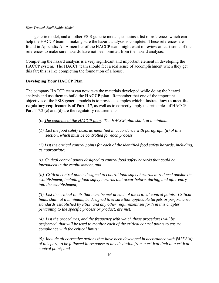This generic model, and all other FSIS generic models, contains a list of references which can help the HACCP team in making sure the hazard analysis is complete. These references are found in Appendix A. A member of the HACCP team might want to review at least some of the references to make sure hazards have not been omitted from the hazard analysis.

Completing the hazard analysis is a very significant and important element in developing the HACCP system. The HACCP team should feel a real sense of accomplishment when they get this far; this is like completing the foundation of a house.

### **Developing Your HACCP Plan**

The company HACCP team can now take the materials developed while doing the hazard analysis and use them to build the **HACCP plan.** Remember that one of the important objectives of the FSIS generic models is to provide examples which illustrate **how to meet the regulatory requirements of Part 417**, as well as to correctly apply the principles of HACCP. Part 417.2 (c) and (d) are the regulatory requirements:

- *(c) The contents of the HACCP plan. The HACCP plan shall, at a minimum:*
- *(1) List the food safety hazards identified in accordance with paragraph (a) of this section, which must be controlled for each process.*

*(2) List the critical control points for each of the identified food safety hazards, including, as appropriate:* 

*(i) Critical control points designed to control food safety hazards that could be introduced in the establishment, and* 

*(ii) Critical control points designed to control food safety hazards introduced outside the establishment, including food safety hazards that occur before, during, and after entry into the establishment;* 

*(3) List the critical limits that must be met at each of the critical control points. Critical limits shall, at a minimum, be designed to ensure that applicable targets or performance standards established by FSIS, and any other requirement set forth in this chapter pertaining to the specific process or product, are met;* 

*(4) List the procedures, and the frequency with which those procedures will be performed, that will be used to monitor each of the critical control points to ensure compliance with the critical limits;* 

*(5) Include all corrective actions that have been developed in accordance with §417.3(a) of this part, to be followed in response to any deviation from a critical limit at a critical control point; and*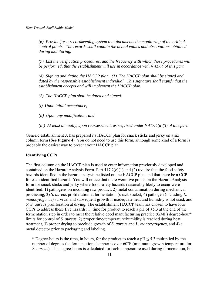*(6) Provide for a recordkeeping system that documents the monitoring of the critical control points. The records shall contain the actual values and observations obtained during monitoring.* 

*(7) List the verification procedures, and the frequency with which those procedures will be performed, that the establishment will use in accordance with § 417.4 of this part.* 

*(d) Signing and dating the HACCP plan. (1) The HACCP plan shall be signed and dated by the responsible establishment individual. This signature shall signify that the establishment accepts and will implement the HACCP plan.* 

*(2) The HACCP plan shall be dated and signed:* 

- *(i) Upon initial acceptance;*
- *(ii) Upon any modification; and*

*(iii) At least annually, upon reassessment, as required under § 417.4(a)(3) of this part.* 

Generic establishment X has prepared its HACCP plan for snack sticks and jerky on a six column form (**See Figure 4**). You do not need to use this form, although some kind of a form is probably the easiest way to present your HACCP plan.

### **Identifying CCPs**

The first column on the HACCP plan is used to enter information previously developed and contained on the Hazard Analysis Form. Part  $417.2(c)(1)$  and (2) require that the food safety hazards identified in the hazard analysis be listed on the HACCP plan and that there be a CCP for each identified hazard. You will notice that there were five points on the Hazard Analysis form for snack sticks and jerky where food safety hazards reasonably likely to occur were identified: 1) pathogens on incoming raw product, 2) metal contamination during mechanical processing, 3) *S. aureus* proliferation at fermentation (snack sticks); 4) pathogen (including *L. monocytogenes)* survival and subsequent growth if inadequate heat and humidity is not used, and 5) *S. aureus* proliferation at drying. The establishment HACCP team has chosen to have four CCPs to address these five hazards: 1) time for product to reach a pH of  $\leq$ 5.3 at the end of the fermentation step in order to meet the relative good manufacturing practice (GMP) degree-hour\* limits for control of *S. aureus*, 2) proper time/temperature/humidity is reached during heat treatment, 3) proper drying to preclude growth of *S. aureus* and *L. monocytogenes*, and 4) a metal detector prior to packaging and labeling.

\* Degree-hours is the time, in hours, for the product to reach a  $pH \le 5.3$  multiplied by the number of degrees the fermentation chamber is over 60°F (minimum growth temperature for *S. aureus*). The degree-hours is calculated for each temperature used during fermentation, but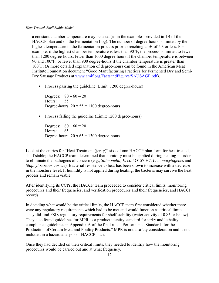a constant chamber temperature may be used (as in the examples provided in 1B of the HACCP plan and on the Fermentation Log). The number of degree-hours is limited by the highest temperature in the fermentation process prior to reaching a pH of 5.3 or less. For example, if the highest chamber temperature is less than 90°F, the process is limited to fewer than 1200 degree-hours; fewer than 1000 degree-hours if the chamber temperature is between 90 and 100°F; or fewer than 900 degree-hours if the chamber temperature is greater than 100°F. (A more detailed explanation of degree-hours can be found in the American Meat Institute Foundation document "Good Manufacturing Practices for Fermented Dry and Semi-Dry Sausage Products at www.amif.org/FactsandFigures/SAUSAGE.pdf).

• Process passing the guideline (Limit: 1200 degree-hours)

Degrees:  $80 - 60 = 20$ Hours: 55 Degree-hours:  $20 \times 55 = 1100$  degree-hours

• Process failing the guideline (Limit: 1200 degree-hours)

Degrees:  $80 - 60 = 20$ Hours: 65 Degree-hours:  $20 \times 65 = 1300$  degree-hours

Look at the entries for "Heat Treatment (jerky)" six column HACCP plan form for heat treated, shelf stable; the HACCP team determined that humidity must be applied during heating in order to eliminate the pathogens of concern (e.g., *Salmonella*, *E. coli* O157:H7, *L. monocytogenes* and *Staphylococcus aureus*). Bacterial resistance to heat has been shown to increase with a decrease in the moisture level. If humidity is not applied during heating, the bacteria may survive the heat process and remain viable.

After identifying its CCPs, the HACCP team proceeded to consider critical limits, monitoring procedures and their frequencies, and verification procedures and their frequencies, and HACCP records.

In deciding what would be the critical limits, the HACCP team first considered whether there were any regulatory requirements which had to be met and would function as critical limits. They did find FSIS regulatory requirements for shelf stability (water activity of 0.85 or below). They also found guidelines for MPR as a product identity standard for jerky and lethality compliance guidelines in Appendix A of the final rule, "Performance Standards for the Production of Certain Meat and Poultry Products." MPR is not a safety consideration and is not included in a hazard analysis or HACCP plan.

Once they had decided on their critical limits, they needed to identify how the monitoring procedures would be carried out and at what frequency.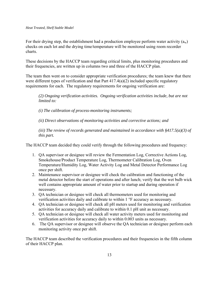For their drying step, the establishment had a production employee perform water activity  $(a_w)$ checks on each lot and the drying time/temperature will be monitored using room recorder charts.

These decisions by the HACCP team regarding critical limits, plus monitoring procedures and their frequencies, are written up in columns two and three of the HACCP plan.

The team then went on to consider appropriate verification procedures; the team knew that there were different types of verification and that Part 417.4(a)(2) included specific regulatory requirements for each. The regulatory requirements for ongoing verification are:

*(2) Ongoing verification activities. Ongoing verification activities include, but are not limited to:* 

*(i) The calibration of process-monitoring instruments;* 

*(ii) Direct observations of monitoring activities and corrective actions; and* 

*(iii) The review of records generated and maintained in accordance with §417.5(a)(3) of this part.* 

The HACCP team decided they could verify through the following procedures and frequency:

- 1. QA supervisor or designee will review the Fermentation Log, Corrective Actions Log, Smokehouse/Product Temperature Log, Thermometer Calibration Log, Oven Temperature/Humidity Log, Water Activity Log and Metal Detector Performance Log once per shift.
- 2. Maintenance supervisor or designee will check the calibration and functioning of the metal detector before the start of operations and after lunch; verify that the wet bulb wick well contains appropriate amount of water prior to startup and during operation if necessary.
- 3. QA technician or designee will check all thermometers used for monitoring and verification activities daily and calibrate to within 1 °F accuracy as necessary.
- 4. QA technician or designee will check all pH meters used for monitoring and verification activities for accuracy daily and calibrate to within 0.1 pH unit as necessary.
- 5. QA technician or designee will check all water activity meters used for monitoring and verification activities for accuracy daily to within 0.003 units as necessary.
- 6. The QA supervisor or designee will observe the QA technician or designee perform each monitoring activity once per shift.

The HACCP team described the verification procedures and their frequencies in the fifth column of their HACCP plan.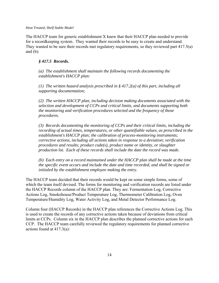The HACCP team for generic establishment X knew that their HACCP plan needed to provide for a recordkeeping system. They wanted their records to be easy to create and understand. They wanted to be sure their records met regulatory requirements, so they reviewed part 417.5(a) and (b):

### *§ 417.5 Records.*

*(a) The establishment shall maintain the following records documenting the establishment's HACCP plan:* 

*(1) The written hazard analysis prescribed in § 417.2(a) of this part, including all supporting documentation;* 

*(2) The written HACCP plan, including decision making documents associated with the selection and development of CCPs and critical limits, and documents supporting both the monitoring and verification procedures selected and the frequency of those procedures.* 

*(3) Records documenting the monitoring of CCPs and their critical limits, including the recording of actual times, temperatures, or other quantifiable values, as prescribed in the establishment's HACCP plan; the calibration of process-monitoring instruments; corrective actions, including all actions taken in response to a deviation; verification procedures and results; product code(s), product name or identity, or slaughter production lot. Each of these records shall include the date the record was made.* 

*(b) Each entry on a record maintained under the HACCP plan shall be made at the time the specific event occurs and include the date and time recorded, and shall be signed or initialed by the establishment employee making the entry.* 

The HACCP team decided that their records would be kept on some simple forms, some of which the team itself devised. The forms for monitoring and verification records are listed under the HACCP Records column of the HACCP plan. They are: Fermentation Log, Corrective Actions Log, Smokehouse/Product Temperature Log, Thermometer Calibration Log, Oven Temperature/Humidity Log, Water Activity Log, and Metal Detector Performance Log.

Column four (HACCP Records) in the HACCP plan references the Corrective Actions Log. This is used to create the records of any corrective actions taken because of deviations from critical limits at CCPs. Column six in the HACCP plan describes the planned corrective actions for each CCP. The HACCP team carefully reviewed the regulatory requirements for planned corrective actions found at 417.3(a):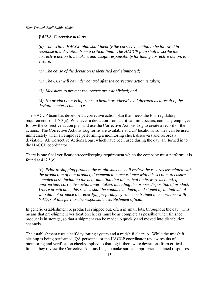### *§ 417.3 Corrective actions.*

*(a) The written HACCP plan shall identify the corrective action to be followed in response to a deviation from a critical limit. The HACCP plan shall describe the corrective action to be taken, and assign responsibility for taking corrective action, to ensure:* 

*(1) The cause of the deviation is identified and eliminated;* 

*(2) The CCP will be under control after the corrective action is taken;* 

*(3) Measures to prevent recurrence are established; and* 

*(4) No product that is injurious to health or otherwise adulterated as a result of the deviation enters commerce.* 

The HACCP team has developed a corrective action plan that meets the four regulatory requirements of 417.3(a). Whenever a deviation from a critical limit occurs, company employees follow the corrective action plan and use the Corrective Actions Log to create a record of their actions. The Corrective Actions Log forms are available at CCP locations, so they can be used immediately when an employee performing a monitoring check discovers and records a deviation. All Corrective Actions Logs, which have been used during the day, are turned in to the HACCP coordinator.

There is one final verification/recordkeeping requirement which the company must perform; it is found at  $417.5(c)$ :

*(c) Prior to shipping product, the establishment shall review the records associated with the production of that product, documented in accordance with this section, to ensure completeness, including the determination that all critical limits were met and, if appropriate, corrective actions were taken, including the proper disposition of product. Where practicable, this review shall be conducted, dated, and signed by an individual who did not produce the record(s), preferably by someone trained in accordance with § 417.7 of this part, or the responsible establishment official.* 

In generic establishment X product is shipped out, often in small lots, throughout the day. This means that pre-shipment verification checks must be as complete as possible when finished product is in storage, so that a shipment can be made up quickly and moved into distribution channels.

The establishment uses a half day lotting system and a midshift cleanup. While the midshift cleanup is being performed, QA personnel or the HACCP coordinator review results of monitoring and verification checks applied to that lot; if there were deviations from critical limits, they review the Corrective Actions Logs to make sure all appropriate planned responses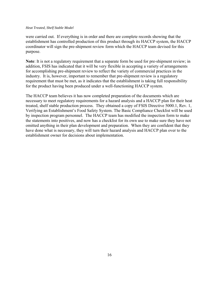were carried out. If everything is in order and there are complete records showing that the establishment has controlled production of this product through its HACCP system, the HACCP coordinator will sign the pre-shipment review form which the HACCP team devised for this purpose.

**Note**: It is not a regulatory requirement that a separate form be used for pre-shipment review; in addition, FSIS has indicated that it will be very flexible in accepting a variety of arrangements for accomplishing pre-shipment review to reflect the variety of commercial practices in the industry. It is, however, important to remember that pre-shipment review is a regulatory requirement that must be met, as it indicates that the establishment is taking full responsibility for the product having been produced under a well-functioning HACCP system.

The HACCP team believes it has now completed preparation of the documents which are necessary to meet regulatory requirements for a hazard analysis and a HACCP plan for their heat treated, shelf stable production process. They obtained a copy of FSIS Directive 5000.1, Rev. 1, Verifying an Establishment's Food Safety System. The Basic Compliance Checklist will be used by inspection program personnel. The HACCP team has modified the inspection form to make the statements into positives, and now has a checklist for its own use to make sure they have not omitted anything in their plan development and preparation. When they are confident that they have done what is necessary, they will turn their hazard analysis and HACCP plan over to the establishment owner for decisions about implementation.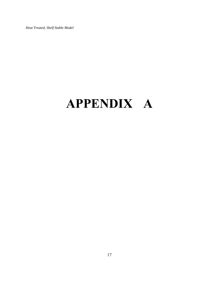## **APPENDIX A**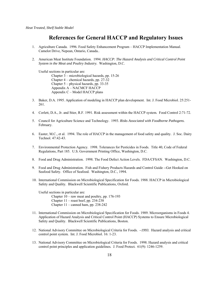### **References for General HACCP and Regulatory Issues**

- 1. Agriculture Canada. 1996. Food Safety Enhancement Program HACCP Implementation Manual. Camelot Drive, Nepean, Ontario, Canada..
- 2. American Meat Institute Foundation. 1994. *HACCP: The Hazard Analysis and Critical Control Point System in the Meat and Poultry Industry.* Washington, D.C.

Useful sections in particular are:

Chapter  $3$  – microbiological hazards, pp. 15-26 Chapter  $4$  – chemical hazards, pp. 27-32 Chapter  $5$  – physical hazards, pp. 33-35 Appendix A - NACMCF HACCP Appendix  $C$  – Model HACCP plans

- 3. Baker, D.A. 1995. Application of modeling in HACCP plan development. Int. J. Food Microbiol. 25:251- 261.
- 4. Corlett, D.A., Jr. and Stier, R.F. 1991. Risk assessment within the HACCP system*.* Food Control 2:71-72.
- 5. Council for Agriculture Science and Technology. 1993. *Risks Associated with Foodborne Pathogens.*  February.
- 6. Easter, M.C., et al. 1994. The role of HACCP in the management of food safety and quality. J. Soc. Dairy Technol. 47:42-43.
- 7. Environmental Protection Agency. 1998. Tolerances for Pesticides in Foods. Title 40, Code of Federal Regulations, Part 185. U.S. Government Printing Office, Washington, D.C.
- 8. Food and Drug Administration. 1998. The Food Defect Action Levels. FDA/CFSAN. Washington, D.C.
- 9. Food and Drug Administration. Fish and Fishery Products Hazards and Control Guide --Get Hooked on Seafood Safety. Office of Seafood. Washington, D.C., 1994.
- 10. International Commission on Microbiological Specification for Foods. 1988. HACCP in Microbiological Safety and Quality*.* Blackwell Scientific Publications, Oxford.

Useful sections in particular are:

Chapter  $10 - raw$  meat and poultry, pp. 176-193 Chapter  $11$  – roast beef, pp. 234-238 Chapter  $11$  – canned ham, pp. 238-242

- 11. International Commission on Microbiological Specification for Foods. 1989. Microorganisms in Foods 4. Application of Hazard Analysis and Critical Control Point (HACCP) Systems to Ensure Microbiological Safety and Quality. Blackwell Scientific Publications, Boston.
- 12. National Advisory Committee on Microbiological Criteria for Foods. *–1993.* Hazard analysis and critical control point system*.* Int. J. Food Microbiol. 16: 1-23.
- 13. National Advisory Committee on Microbiological Criteria for Foods. 1998. Hazard analysis and critical control point principles and application guidelines*.* J. Food Protect*.* 61(9): 1246-1259.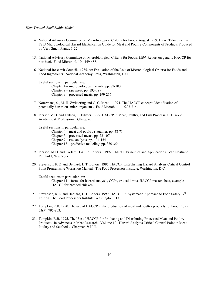- 14. National Advisory Committee on Microbiological Criteria for Foods. August 1999. DRAFT document FSIS Microbiological Hazard Identification Guide for Meat and Poultry Components of Products Produced by Very Small Plants. 1-22.
- 15. National Advisory Committee on Microbiological Criteria for Foods. *1994.* Report on generic HACCP for raw beef*.* Food Microbiol. 10: 449-488.
- 16. National Research Council. 1985. An Evaluation of the Role of Microbiological Criteria for Foods and Food Ingredients*.* National Academy Press, Washington, D.C.,

Useful sections in particular are: Chapter  $4$  – microbiological hazards, pp. 72-103 Chapter  $9 - raw$  meat, pp. 193-199 Chapter  $9$  – processed meats, pp. 199-216

- 17. Notermans, S., M. H. Zwietering and G. C. Mead. 1994. The HACCP concept: Identification of potentially hazardous microorganisms*.* Food Microbiol. 11:203-214.
- 18. Pierson M.D. and Dutson, T. Editors. 1995. HACCP in Meat, Poultry, and Fish Processing. Blackie Academic & Professional. Glasgow.

Useful sections in particular are:

Chapter  $4$  – meat and poultry slaughter, pp. 58-71 Chapter  $5$  – processed meats, pp. 72-107 Chapter  $7$  – risk analysis, pp. 134-154 Chapter  $13$  – predictive modeling, pp. 330-354

- 19. Pierson, M.D. and Corlett, D.A., Jr. Editors. 1992. HACCP Principles and Applications. Van Nostrand Reinhold, New York.
- 20. Stevenson, K.E. and Bernard, D.T. Editors. 1995. HACCP: Establishing Hazard Analysis Critical Control Point Programs. A Workshop Manual*.* The Food Processors Institute, Washington, D.C...

Useful sections in particular are:

Chapter 11 – forms for hazard analysis, CCPs, critical limits, HACCP master sheet, example HACCP for breaded chicken

- 21. Stevenson, K.E. and Bernard, D.T. Editors. 1999. HACCP: A Systematic Approach to Food Safety. 3<sup>rd</sup> Edition*.* The Food Processors Institute, Washington, D.C.
- 22. Tompkin, R.B. 1990. The use of HACCP in the production of meat and poultry products*.* J. Food Protect. 53(9): 795-803.
- 23. Tompkin, R.B. 1995. The Use of HACCP for Producing and Distributing Processed Meat and Poultry Products. In Advances in Meat Research. Volume 10. Hazard Analysis Critical Control Point in Meat, Poultry and Seafoods. Chapman & Hall.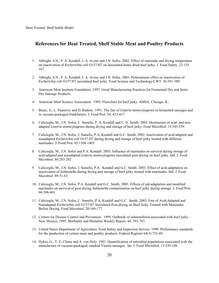### **References for Heat Treated, Shelf Stable Meat and Poultry Products**

- 1. Albright, S.N., P. A. Kendall, J. A. Avens and J.N. Sofos. 2002. Effect of marinade and drying temperature on inactivation of *Escherichia coli* O157:H7 on inoculated home dried beef jerky. J. Food Safety. 22:155- 167.
- 2. Albright, S.N., P. A. Kendall, J. A. Avens and J.N. Sofos. 2003. Pretreatment effect on inactivation of *Escherichia coli* O157:H7 inoculated beef jerky. Food Science and Technology/LWT. 36:381-389.
- 3. American Meat Institute Foundation. 1997. Good Manufacturing Practices for Fermented Dry and Semi-Dry Sausage Products.
- 4. American Meat Science Association. 1995. Flowchart for beef jerky. AMSA, Chicago, IL.
- 5. Bunic, S., L. Paunovic and D. Radisic. 1991. The fate of *Listeria monocytogenes* in fermented sausages and in vacuum-packaged frankfurters*.* J. Food Prot. 54: 413-417.
- 6. Calicioglu, M., J.N. Sofos, J. Samelis, P. A. Kendall and C. G. Smith. 2002. Destruction of acid- and nonadapted *Listeria monocytogenes* during drying and storage of beef jerky. Food Microbiol. 19:545-559.
- 7. Calicioglu, M., J.N. Sofos, J. Samelis, P.A, Kendall and G.C. Smith. 2002. Inactivation of acid-adapted and nonadapted *Escherichia coli* O157:H7 during drying and storage of beef jerky treated with different marinades. J. Food Prot. 65:1394-1405.
- 8. Calicioglu, M., J.N. Sofos and P.A. Kendall. 2003. Influence of marinades on survival during storage of acid-adapted and nonadapted *Listeria monocytogenes* inoculated post-drying on beef jerky. Intl. J. Food Microbiol. 86:283-292
- 9. Calicioglu, M., J.N. Sofos, J. Samelis, P.A. Kendall and G.C. Smith. 2003. Effect of acid-adaptation on inactivation of *Salmonella* during drying and storage of beef jerky treated with marinades. Intl. J. Food Microbiol. 89:51-65.
- 10. Calicioglu, M., J.N. Sofos, P.A. Kendall and G.C. Smith. 2003. Effects of aid-adaptation and modified marinades on survival of post-drying *Salmonella* contamination on beef jerky during storage. J. Food Prot. 66:396-401.
- 11. Calicioglu, M., J.N. Sofos, J. Samelis, P.A. Kendall and G.C. Smith. 2003. Fate of Acid-Adapted and Nonadapted *Escherichia coli* O157:H7 Inoculated Post-drying on Beef Jerky Treated with Marinades Before Drying. Food Microbiol. 20:169-177.
- 12. Centers for Disease Control and Prevention. 1995. Outbreak of salmonellosis associated with beef jerky New Mexico, 1995*.* Morbidity and Mortality Weekly Report. 44: 785-787.
- 13. United States Department of Agriculture. Food Safety and Inspection Service. 1999. Performance standards for the production of certain meat and poultry products. Federal Register 64(3):732-49.
- 14. Dykes, G., T. E. Cloete and A. von Holy. 1991. Quantification of microbial populations associated with the manufacture of vacuum-packaged, smoked Vienna sausages*.* Int. J. Food Microbiol. 13:239-248.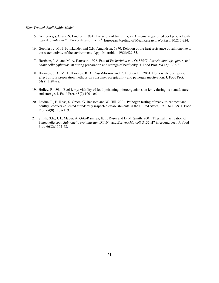- 15. Genigeorgis, C. and S. Lindroth. 1984. The safety of basturma, an Armenian-type dried beef product with regard to *Salmonella*. Proceedings of the 30<sup>th</sup> European Meeting of Meat Research Workers. 30:217-224.
- 16. Goepfert, J. M., I. K. Iskander and C.H. Amundson. 1970. Relation of the heat resistance of salmonellae to the water activity of the environment. Appl. Microbiol. 19(3):429-33.
- 17. Harrison, J. A. and M. A. Harrison. 1996. Fate of *Escherichia coli* O157:H7, *Listeria monocytogenes*, and *Salmonella typhimurium* during preparation and storage of beef jerky. J. Food Prot. 59(12):1336-8.
- 18. Harrison, J. A., M. A. Harrison, R. A. Rose-Morrow and R. L. Shewfelt. 2001. Home-style beef jerky: effect of four preparation methods on consumer acceptability and pathogen inactivation. J. Food Prot. 64(8):1194-98.
- 19. Holley, R. 1984. Beef jerky: viability of food-poisoning microorganisms on jerky during its manufacture and storage. J. Food Prot. 48(2):100-106.
- 20. Levine, P., B. Rose, S. Green, G. Ransom and W. Hill. 2001. Pathogen testing of ready-to-eat meat and poultry products collected at federally inspected establishments in the United States, 1990 to 1999. J. Food Prot. 64(8):1188-1193.
- 21. Smith, S.E., J. L. Mauer, A. Orta-Ramirez, E. T. Ryser and D. M. Smith. 2001. Thermal inactivation of *Salmonella* spp., *Salmonella typhimurium* DT104, and *Escherichia coli* O157:H7 in ground beef. J. Food Prot. 66(8):1164-68.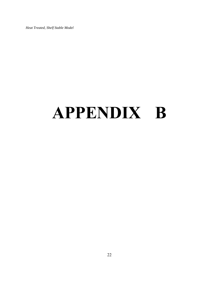# **APPENDIX B**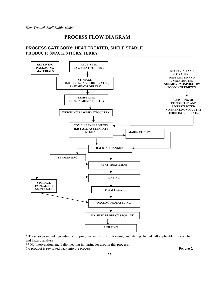### **PROCESS FLOW DIAGRAM**

### **PROCESS CATEGORY: HEAT TREATED, SHELF STABLE PRODUCT: SNACK STICKS, JERKY**



\* These steps include: grinding, chopping, mixing, stuffing, forming, and slicing. Include all applicable in flow chart and hazard analysis.

\*\* No interventions (acid dip, heating in marinade) used in this process.

No product is reworked back into the process.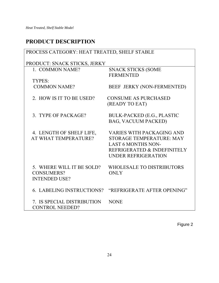## **PRODUCT DESCRIPTION**

| PROCESS CATEGORY: HEAT TREATED, SHELF STABLE                           |                                                                                                                                                               |  |  |  |
|------------------------------------------------------------------------|---------------------------------------------------------------------------------------------------------------------------------------------------------------|--|--|--|
| PRODUCT: SNACK STICKS, JERKY                                           |                                                                                                                                                               |  |  |  |
| 1. COMMON NAME?                                                        | <b>SNACK STICKS (SOME</b>                                                                                                                                     |  |  |  |
| TYPES:                                                                 | <b>FERMENTED</b>                                                                                                                                              |  |  |  |
| <b>COMMON NAME?</b>                                                    | BEEF JERKY (NON-FERMENTED)                                                                                                                                    |  |  |  |
| 2. HOW IS IT TO BE USED?                                               | <b>CONSUME AS PURCHASED</b>                                                                                                                                   |  |  |  |
|                                                                        | (READY TO EAT)                                                                                                                                                |  |  |  |
| 3. TYPE OF PACKAGE?                                                    | <b>BULK-PACKED (E.G., PLASTIC</b>                                                                                                                             |  |  |  |
|                                                                        | BAG, VACUUM PACKED)                                                                                                                                           |  |  |  |
| 4. LENGTH OF SHELF LIFE,<br>AT WHAT TEMPERATURE?                       | <b>VARIES WITH PACKAGING AND</b><br><b>STORAGE TEMPERATURE: MAY</b><br><b>LAST 6 MONTHS NON-</b><br>REFRIGERATED & INDEFINITELY<br><b>UNDER REFRIGERATION</b> |  |  |  |
| 5. WHERE WILL IT BE SOLD?<br><b>CONSUMERS?</b><br><b>INTENDED USE?</b> | <b>WHOLESALE TO DISTRIBUTORS</b><br><b>ONLY</b>                                                                                                               |  |  |  |
| <b>6. LABELING INSTRUCTIONS?</b>                                       | "REFRIGERATE AFTER OPENING"                                                                                                                                   |  |  |  |
| 7. IS SPECIAL DISTRIBUTION<br><b>CONTROL NEEDED?</b>                   | <b>NONE</b>                                                                                                                                                   |  |  |  |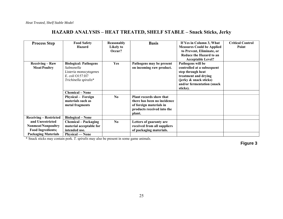| <b>Process Step</b>           | <b>Food Safety</b>           | Reasonably     | <b>Basis</b>                | If Yes in Column 3, What         | <b>Critical Control</b> |
|-------------------------------|------------------------------|----------------|-----------------------------|----------------------------------|-------------------------|
|                               | <b>Hazard</b>                | Likely to      |                             | <b>Measures Could be Applied</b> | Point                   |
|                               |                              | Occur?         |                             | to Prevent, Eliminate, or        |                         |
|                               |                              |                |                             | Reduce the Hazard to an          |                         |
|                               |                              |                |                             | <b>Acceptable Level?</b>         |                         |
| <b>Receiving – Raw</b>        | <b>Biological: Pathogens</b> | Yes            | Pathogens may be present    | Pathogens will be                |                         |
| <b>Meat/Poultry</b>           | Salmonella                   |                | on incoming raw product.    | controlled at a subsequent       |                         |
|                               | Listeria monocytogenes       |                |                             | step through heat                |                         |
|                               | E. coli O157:H7              |                |                             | treatment and drying             |                         |
|                               | Trichinella spiralis*        |                |                             | (jerky & snack sticks)           |                         |
|                               |                              |                |                             | and/or fermentation (snack       |                         |
|                               |                              |                |                             | sticks).                         |                         |
|                               | <b>Chemical – None</b>       |                |                             |                                  |                         |
|                               | Physical – Foreign           | N <sub>0</sub> | Plant records show that     |                                  |                         |
|                               | materials such as            |                | there has been no incidence |                                  |                         |
|                               | metal fragments              |                | of foreign materials in     |                                  |                         |
|                               |                              |                | products received into the  |                                  |                         |
|                               |                              |                | plant.                      |                                  |                         |
| <b>Receiving – Restricted</b> | <b>Biological – None</b>     |                |                             |                                  |                         |
| and Unrestricted              | <b>Chemical – Packaging</b>  | N <sub>0</sub> | Letters of guaranty are     |                                  |                         |
| <b>Nonmeat/Nonpoultry</b>     | material acceptable for      |                | received from all suppliers |                                  |                         |
| <b>Food Ingredients;</b>      | intended use.                |                | of packaging materials.     |                                  |                         |
| <b>Packaging Materials</b>    | <b>Physical</b> — None       |                |                             |                                  |                         |

\* Snack sticks may contain pork. *T. spiralis* may also be present in some game animals.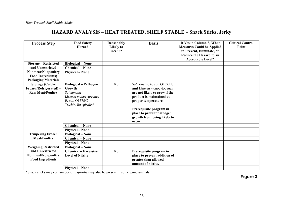| <b>Process Step</b>                            | <b>Food Safety</b><br><b>Hazard</b>                     | Reasonably<br><b>Likely</b> to<br>Occur? | <b>Basis</b>                               | If Yes in Column 3, What<br><b>Measures Could be Applied</b><br>to Prevent, Eliminate, or<br>Reduce the Hazard to an<br><b>Acceptable Level?</b> | <b>Critical Control</b><br>Point |
|------------------------------------------------|---------------------------------------------------------|------------------------------------------|--------------------------------------------|--------------------------------------------------------------------------------------------------------------------------------------------------|----------------------------------|
| <b>Storage – Restricted</b>                    | <b>Biological - None</b>                                |                                          |                                            |                                                                                                                                                  |                                  |
| and Unrestricted                               | <b>Chemical – None</b>                                  |                                          |                                            |                                                                                                                                                  |                                  |
| Nonmeat/Nonpoultry<br><b>Food Ingredients;</b> | <b>Physical – None</b>                                  |                                          |                                            |                                                                                                                                                  |                                  |
| <b>Packaging Materials</b>                     |                                                         |                                          |                                            |                                                                                                                                                  |                                  |
| Storage (Cold -                                | <b>Biological - Pathogen</b>                            | N <sub>0</sub>                           | Salmonella, E. coli O157:H7                |                                                                                                                                                  |                                  |
| Frozen/Refrigerated)-                          | Growth                                                  |                                          | and Listeria monocytogenes                 |                                                                                                                                                  |                                  |
| <b>Raw Meat/Poultry</b>                        | Salmonella                                              |                                          | are not likely to grow if the              |                                                                                                                                                  |                                  |
|                                                | Listeria monocytogenes<br>E. coli O157:H7               |                                          | product is maintained at                   |                                                                                                                                                  |                                  |
|                                                | Trichinella spiralis*                                   |                                          | proper temperature.                        |                                                                                                                                                  |                                  |
|                                                |                                                         |                                          | Prerequisite program in                    |                                                                                                                                                  |                                  |
|                                                |                                                         |                                          | place to prevent pathogen                  |                                                                                                                                                  |                                  |
|                                                |                                                         |                                          | growth from being likely to                |                                                                                                                                                  |                                  |
|                                                |                                                         |                                          | occur.                                     |                                                                                                                                                  |                                  |
|                                                | <b>Chemical - None</b>                                  |                                          |                                            |                                                                                                                                                  |                                  |
|                                                | <b>Physical – None</b>                                  |                                          |                                            |                                                                                                                                                  |                                  |
| <b>Tempering Frozen</b>                        | <b>Biological - None</b>                                |                                          |                                            |                                                                                                                                                  |                                  |
| <b>Meat/Poultry</b>                            | <b>Chemical – None</b>                                  |                                          |                                            |                                                                                                                                                  |                                  |
|                                                | <b>Physical – None</b>                                  |                                          |                                            |                                                                                                                                                  |                                  |
| <b>Weighing Restricted</b><br>and Unrestricted | <b>Biological - None</b><br><b>Chemical – Excessive</b> | N <sub>0</sub>                           | Prerequisite program in                    |                                                                                                                                                  |                                  |
| Nonmeat/Nonpoultry                             | <b>Level of Nitrite</b>                                 |                                          | place to prevent addition of               |                                                                                                                                                  |                                  |
| <b>Food Ingredients</b>                        |                                                         |                                          | greater than allowed<br>amount of nitrite. |                                                                                                                                                  |                                  |
|                                                | <b>Physical – None</b>                                  |                                          |                                            |                                                                                                                                                  |                                  |

\*Snack sticks may contain pork. *T. spiralis* may also be present in some game animals.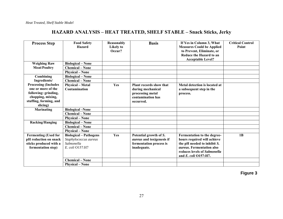| <b>Process Step</b>                                                                                                                  | <b>Food Safety</b><br>Hazard                                       | Reasonably<br>Likely to<br>Occur? | <b>Basis</b>                                                                                       | If Yes in Column 3, What<br><b>Measures Could be Applied</b><br>to Prevent, Eliminate, or<br>Reduce the Hazard to an<br><b>Acceptable Level?</b> | <b>Critical Control</b><br>Point |
|--------------------------------------------------------------------------------------------------------------------------------------|--------------------------------------------------------------------|-----------------------------------|----------------------------------------------------------------------------------------------------|--------------------------------------------------------------------------------------------------------------------------------------------------|----------------------------------|
| <b>Weighing Raw</b>                                                                                                                  | <b>Biological - None</b>                                           |                                   |                                                                                                    |                                                                                                                                                  |                                  |
| <b>Meat/Poultry</b>                                                                                                                  | <b>Chemical - None</b>                                             |                                   |                                                                                                    |                                                                                                                                                  |                                  |
|                                                                                                                                      | <b>Physical – None</b>                                             |                                   |                                                                                                    |                                                                                                                                                  |                                  |
| Combining<br>Ingredients/                                                                                                            | <b>Biological – None</b>                                           |                                   |                                                                                                    |                                                                                                                                                  |                                  |
| <b>Processing (Includes</b><br>one or more of the<br>following: grinding,<br>chopping, mixing,<br>stuffing, forming, and<br>slicing) | <b>Chemical – None</b><br><b>Physical - Metal</b><br>Contamination | Yes                               | Plant records show that<br>during mechanical<br>processing metal<br>contamination has<br>occurred. | Metal detection is located at<br>a subsequent step in the<br>process.                                                                            |                                  |
| <b>Marinating</b>                                                                                                                    | <b>Biological -None</b>                                            |                                   |                                                                                                    |                                                                                                                                                  |                                  |
|                                                                                                                                      | <b>Chemical – None</b>                                             |                                   |                                                                                                    |                                                                                                                                                  |                                  |
|                                                                                                                                      | <b>Physical – None</b>                                             |                                   |                                                                                                    |                                                                                                                                                  |                                  |
| Racking/Hanging                                                                                                                      | <b>Biological – None</b>                                           |                                   |                                                                                                    |                                                                                                                                                  |                                  |
|                                                                                                                                      | <b>Chemical - None</b>                                             |                                   |                                                                                                    |                                                                                                                                                  |                                  |
|                                                                                                                                      | <b>Physical – None</b>                                             |                                   |                                                                                                    |                                                                                                                                                  |                                  |
| <b>Fermenting (Used for</b>                                                                                                          | <b>Biological - Pathogens</b>                                      | Yes                               | Potential growth of S.                                                                             | Fermentation to the degree-                                                                                                                      | 1B                               |
| pH reduction on snack                                                                                                                | Staphylococcus aureus                                              |                                   | aureus and toxigenesis if                                                                          | hours required will achieve                                                                                                                      |                                  |
| sticks produced with a                                                                                                               | Salmonella                                                         |                                   | fermentation process is                                                                            | the pH needed to inhibit S.                                                                                                                      |                                  |
| fermentation step)                                                                                                                   | E. coli O157:H7                                                    |                                   | inadequate.                                                                                        | <i>aureus</i> . Fermentation also<br>reduces levels of Salmonella<br>and <i>E. coli</i> O157:H7.                                                 |                                  |
|                                                                                                                                      | <b>Chemical - None</b>                                             |                                   |                                                                                                    |                                                                                                                                                  |                                  |
|                                                                                                                                      | <b>Physical – None</b>                                             |                                   |                                                                                                    |                                                                                                                                                  |                                  |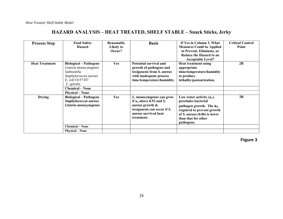| <b>Process Step</b>   | <b>Food Safety</b><br><b>Hazard</b>                                                                                                                        | Reasonably<br>Likely to<br>Occur? | <b>Basis</b>                                                                                                                                                  | If Yes in Column 3, What<br><b>Measures Could be Applied</b><br>to Prevent, Eliminate, or<br>Reduce the Hazard to an<br><b>Acceptable Level?</b>                                   | <b>Critical Control</b><br>Point |
|-----------------------|------------------------------------------------------------------------------------------------------------------------------------------------------------|-----------------------------------|---------------------------------------------------------------------------------------------------------------------------------------------------------------|------------------------------------------------------------------------------------------------------------------------------------------------------------------------------------|----------------------------------|
| <b>Heat Treatment</b> | <b>Biological - Pathogens</b><br>Listeria monocytogenes<br>Salmonella<br>Staphylococcus aureus<br>E. coli O157:H7<br>T. spiralis<br><b>Chemical – None</b> | <b>Yes</b>                        | <b>Potential survival and</b><br>growth of pathogens and<br>toxigenesis from S. aureus<br>with inadequate process<br>time/temperature/humidity.               | <b>Heat treatment using</b><br>appropriate<br>time/temperature/humidity<br>to produce<br>lethality/pasteurization.                                                                 | 2B                               |
| <b>Drying</b>         | <b>Physical – None</b><br><b>Biological - Pathogens</b><br>Staphylococcus aureus<br>Listeria monocytogenes<br><b>Chemical – None</b>                       | <b>Yes</b>                        | L. monocytogenes can grow<br>if $a_w$ above 0.92 and S.<br><i>aureus</i> growth &<br>toxigenesis can occur if S.<br><i>aureus</i> survived heat<br>treatment. | Low water activity $(a_w)$<br>precludes bacterial<br>pathogen growth. The $a_w$<br>required to prevent growth<br>of S. aureus (0.86) is lower<br>than that for other<br>pathogens. | 3B                               |
|                       | <b>Physical – None</b>                                                                                                                                     |                                   |                                                                                                                                                               |                                                                                                                                                                                    |                                  |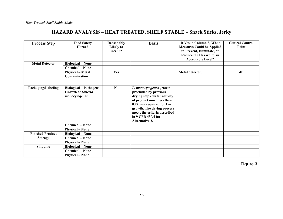| <b>Process Step</b>     | <b>Food Safety</b>                       | Reasonably     | <b>Basis</b>                 | If Yes in Column 3, What         | <b>Critical Control</b> |
|-------------------------|------------------------------------------|----------------|------------------------------|----------------------------------|-------------------------|
|                         | <b>Hazard</b>                            | Likely to      |                              | <b>Measures Could be Applied</b> | Point                   |
|                         |                                          | Occur?         |                              | to Prevent, Eliminate, or        |                         |
|                         |                                          |                |                              | Reduce the Hazard to an          |                         |
|                         |                                          |                |                              | <b>Acceptable Level?</b>         |                         |
| <b>Metal Detector</b>   | <b>Biological – None</b>                 |                |                              |                                  |                         |
|                         | <b>Chemical - None</b>                   |                |                              |                                  |                         |
|                         | <b>Physical – Metal</b><br>Contamination | Yes            |                              | Metal detector.                  | <b>4P</b>               |
| Packaging/Labeling      | <b>Biological - Pathogens</b>            | N <sub>0</sub> | L. monocytogenes growth      |                                  |                         |
|                         | Growth of Listeria                       |                | precluded by previous        |                                  |                         |
|                         | monocytogenes                            |                | drying step - water activity |                                  |                         |
|                         |                                          |                | of product much less than    |                                  |                         |
|                         |                                          |                | 0.92 min required for Lm     |                                  |                         |
|                         |                                          |                | growth. The drying process   |                                  |                         |
|                         |                                          |                | meets the criteria described |                                  |                         |
|                         |                                          |                | in 9 CFR 430.4 for           |                                  |                         |
|                         |                                          |                | <b>Alternative 2.</b>        |                                  |                         |
|                         | <b>Chemical - None</b>                   |                |                              |                                  |                         |
|                         | <b>Physical – None</b>                   |                |                              |                                  |                         |
| <b>Finished Product</b> | <b>Biological – None</b>                 |                |                              |                                  |                         |
| <b>Storage</b>          | <b>Chemical - None</b>                   |                |                              |                                  |                         |
|                         | <b>Physical – None</b>                   |                |                              |                                  |                         |
| <b>Shipping</b>         | <b>Biological – None</b>                 |                |                              |                                  |                         |
|                         | <b>Chemical - None</b>                   |                |                              |                                  |                         |
|                         | <b>Physical – None</b>                   |                |                              |                                  |                         |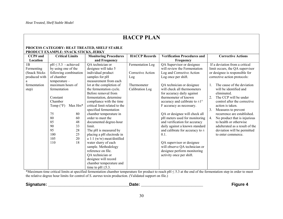## **HACCP PLAN**

### **PROCESS CATEGORY: HEAT TREATED, SHELF STABLE PRODUCT EXAMPLE: SNACK STICKS, JERKY**

| CCP# and       | <b>Critical Limits</b>  |          | <b>Monitoring Procedures</b>  | <b>HACCP Records</b> | <b>Verification Procedures and</b>        | <b>Corrective Actions</b>                        |  |
|----------------|-------------------------|----------|-------------------------------|----------------------|-------------------------------------------|--------------------------------------------------|--|
| Location       |                         |          | and Frequency                 |                      | Frequency                                 |                                                  |  |
| 1B             | $pH \le 5.3$ - achieved |          | QA technician or              | Fermentation Log     | QA Supervisor or designee                 | If a deviation from a critical                   |  |
| Fermenting     | by using one of the     |          | designee will take 5          |                      | will review the Fermentation              | limit occurs, the QA supervisor                  |  |
| (Snack Sticks) | following combination   |          | individual product            | Corrective Action    | Log and Corrective Action                 | or designee is responsible for                   |  |
| produced with  | of chamber              |          | samples for pH                | Log                  | Log once per shift.                       | corrective action protocols:                     |  |
|                | temperature -           |          | measurement from each         |                      |                                           |                                                  |  |
| fermentation   | maximum hours of        |          | lot at the completion of      | Thermometer          | QA technician or designee                 | The cause of the deviation<br>$\mathbf{1}$ .     |  |
| step)          | fermentation            |          | the fermentation cycle.       | Calibration Log      | will check all thermometers               | will be identified and                           |  |
|                |                         |          | Before removal from           |                      | for accuracy daily against                | eliminated.                                      |  |
|                | Constant                |          | fermentation, determine       |                      | thermometer of known                      | The CCP will be under<br>2.                      |  |
|                | Chamber                 |          | compliance with the time      |                      | accuracy and calibrate to $\pm 1^{\circ}$ | control after the corrective                     |  |
|                | Temp $(^{\circ}F)$      | Max Hrs* | critical limit related to the |                      | F accuracy as necessary.                  | action is taken.                                 |  |
|                |                         |          | specified fermentation        |                      |                                           | 3.<br>Measures to prevent                        |  |
|                | 75                      | 80       | chamber temperature in        |                      | QA or designee will check all             | recurrence are established.                      |  |
|                | 80                      | 60       | order to meet the             |                      | pH meters used for monitoring             | No product that is injurious<br>$\overline{4}$ . |  |
|                | 85                      | 48       | documented degree-hour        |                      | and verification for accuracy             | to health or otherwise                           |  |
|                | 90                      | 33       | limit.                        |                      | daily against a known standard            | adulterated as a result of the                   |  |
|                | 95                      | 28       | The pH is measured by         |                      | and calibrate for accuracy to $\pm$       | deviation will be permitted                      |  |
|                | 100                     | 25       | placing a pH electrode in     |                      | 0.1.                                      | to enter commerce.                               |  |
|                | 105                     | 20       | a 1:1 $(w/w)$ meat/distilled  |                      |                                           |                                                  |  |
|                | 110                     | 18       | water slurry of each          |                      | QA supervisor or designee                 |                                                  |  |
|                |                         |          | sample. Methodology           |                      | will observe QA technician or             |                                                  |  |
|                |                         |          | reference on file.            |                      | designee perform monitoring               |                                                  |  |
|                |                         |          | QA technician or              |                      | activity once per shift.                  |                                                  |  |
|                |                         |          | designee will record          |                      |                                           |                                                  |  |
|                |                         |          | chamber temperature and       |                      |                                           |                                                  |  |
|                |                         |          | time to $pH \leq 5.3$ .       |                      |                                           |                                                  |  |

\*Maximum time critical limits at specified fermentation chamber temperature for product to reach pH ≤ 5.3 at the end of the fermentation step in order to meet the relative degree hour limits for control of *S. aureus* toxin production. (Validated support on file.)

| <b>Siar</b><br>- | puw | . . |
|------------------|-----|-----|
|                  |     |     |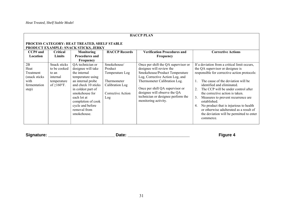|                                                                            | <b>HACCP PLAN</b>                                                                     |                                                                                                                                                                                                                                                         |                                                                                                         |                                                                                                                                                                                                                                                                                                       |                                                                                                                                                                                                                                                                                                                                                                                                                                                                                                                 |  |  |  |
|----------------------------------------------------------------------------|---------------------------------------------------------------------------------------|---------------------------------------------------------------------------------------------------------------------------------------------------------------------------------------------------------------------------------------------------------|---------------------------------------------------------------------------------------------------------|-------------------------------------------------------------------------------------------------------------------------------------------------------------------------------------------------------------------------------------------------------------------------------------------------------|-----------------------------------------------------------------------------------------------------------------------------------------------------------------------------------------------------------------------------------------------------------------------------------------------------------------------------------------------------------------------------------------------------------------------------------------------------------------------------------------------------------------|--|--|--|
|                                                                            | PROCESS CATEGORY: HEAT TREATED, SHELF STABLE<br>PRODUCT EXAMPLE: SNACK STICKS, JERKY  |                                                                                                                                                                                                                                                         |                                                                                                         |                                                                                                                                                                                                                                                                                                       |                                                                                                                                                                                                                                                                                                                                                                                                                                                                                                                 |  |  |  |
| $CCP#$ and<br>Location                                                     | Critical<br>Limits                                                                    | <b>Monitoring</b><br><b>Procedures and</b>                                                                                                                                                                                                              | <b>HACCP</b> Records                                                                                    | <b>Verification Procedures and</b><br>Frequency                                                                                                                                                                                                                                                       | <b>Corrective Actions</b>                                                                                                                                                                                                                                                                                                                                                                                                                                                                                       |  |  |  |
|                                                                            |                                                                                       | Frequency                                                                                                                                                                                                                                               |                                                                                                         |                                                                                                                                                                                                                                                                                                       |                                                                                                                                                                                                                                                                                                                                                                                                                                                                                                                 |  |  |  |
| 2B<br>Heat<br>Treatment<br>(snack sticks)<br>with<br>fermentation<br>step) | Snack sticks<br>to be cooked<br>to an<br>internal<br>temperature<br>of $\geq 160$ °F. | QA technician or<br>designee will take<br>the internal<br>temperature using<br>an internal probe<br>and check 10 sticks<br>in coldest part of<br>smokehouse for<br>each lot at<br>completion of cook<br>cycle and before<br>removal from<br>smokehouse. | Smokehouse/<br>Product<br>Temperature Log<br>Thermometer<br>Calibration Log<br>Corrective Action<br>Log | Once per shift the QA supervisor or<br>designee will review the<br>Smokehouse/Product Temperature<br>Log, Corrective Action Log, and<br>Thermometer Calibration Log.<br>Once per shift QA supervisor or<br>designee will observe the QA<br>technician or designee perform the<br>monitoring activity. | If a deviation from a critical limit occurs,<br>the QA supervisor or designee is<br>responsible for corrective action protocols:<br>The cause of the deviation will be<br>identified and eliminated.<br>The CCP will be under control after<br>$2_{1}$<br>the corrective action is taken.<br>3 <sub>1</sub><br>Measures to prevent recurrence are<br>established.<br>No product that is injurious to health<br>or otherwise adulterated as a result of<br>the deviation will be permitted to enter<br>commerce. |  |  |  |

**Signature: \_\_\_\_\_\_\_\_\_\_\_\_\_\_\_\_\_\_\_\_\_\_\_\_\_\_\_\_ Date: \_\_\_\_\_\_\_\_\_\_\_\_\_\_\_\_\_\_\_\_\_\_\_\_\_\_ Figure 4**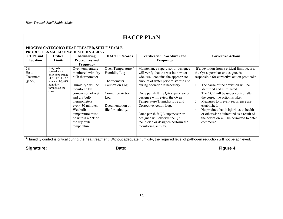## **HACCP PLAN**

### **PROCESS CATEGORY: HEAT TREATED, SHELF STABLE PRODUCT EXAMPLE: SNACK STICKS, JERKY**

|                                    | I RODOCT EARINH EEI, SIVACR STICRS, JERRI                                                                                                        |                                                                                                                                                                                                                                                                            |                                                                                                                                             |                                                                                                                                                                                                                                                                                                                                                                                                                                                              |                                                                                                                                                                                                                                                                                                                                                                                                                                                                                                      |  |  |  |
|------------------------------------|--------------------------------------------------------------------------------------------------------------------------------------------------|----------------------------------------------------------------------------------------------------------------------------------------------------------------------------------------------------------------------------------------------------------------------------|---------------------------------------------------------------------------------------------------------------------------------------------|--------------------------------------------------------------------------------------------------------------------------------------------------------------------------------------------------------------------------------------------------------------------------------------------------------------------------------------------------------------------------------------------------------------------------------------------------------------|------------------------------------------------------------------------------------------------------------------------------------------------------------------------------------------------------------------------------------------------------------------------------------------------------------------------------------------------------------------------------------------------------------------------------------------------------------------------------------------------------|--|--|--|
| $CCP#$ and                         | Critical                                                                                                                                         | <b>Monitoring</b>                                                                                                                                                                                                                                                          | <b>HACCP</b> Records                                                                                                                        | <b>Verification Procedures and</b>                                                                                                                                                                                                                                                                                                                                                                                                                           | <b>Corrective Actions</b>                                                                                                                                                                                                                                                                                                                                                                                                                                                                            |  |  |  |
| Location                           | Limits                                                                                                                                           | <b>Procedures and</b>                                                                                                                                                                                                                                                      |                                                                                                                                             | Frequency                                                                                                                                                                                                                                                                                                                                                                                                                                                    |                                                                                                                                                                                                                                                                                                                                                                                                                                                                                                      |  |  |  |
|                                    |                                                                                                                                                  | Frequency                                                                                                                                                                                                                                                                  |                                                                                                                                             |                                                                                                                                                                                                                                                                                                                                                                                                                                                              |                                                                                                                                                                                                                                                                                                                                                                                                                                                                                                      |  |  |  |
| 2B<br>Heat<br>Treatment<br>(jerky) | Jerky to be<br>cooked at an<br>oven temperature<br>of $\geq$ 180°F for $\geq$ 2<br>hours with $\geq 90\%$<br>humidity<br>throughout the<br>cook. | Oven temperature<br>monitored with dry<br>bulb thermometer.<br>Humidity* will be<br>monitored by<br>comparison of wet<br>and dry bulb<br>thermometers<br>every 30 minutes.<br>Wet bulb<br>temperature must<br>be within $4.5^{\circ}$ F of<br>the dry bulb<br>temperature. | Oven Temperature /<br>Humidity Log<br>Thermometer<br>Calibration Log<br>Corrective Action<br>Log<br>Documentation on<br>file for lethality. | Maintenance supervisor or designee<br>will verify that the wet bulb water<br>wick well contains the appropriate<br>amount of water prior to startup and<br>during operation if necessary.<br>Once per shift the QA supervisor or<br>designee will review the Oven<br>Temperature/Humidity Log and<br>Corrective Action Log.<br>Once per shift QA supervisor or<br>designee will observe the QA<br>technician or designee perform the<br>monitoring activity. | If a deviation from a critical limit occurs,<br>the QA supervisor or designee is<br>responsible for corrective action protocols:<br>The cause of the deviation will be<br>identified and eliminated.<br>The CCP will be under control after<br>2.<br>the corrective action is taken.<br>3.<br>Measures to prevent recurrence are<br>established.<br>No product that is injurious to health<br>4.<br>or otherwise adulterated as a result of<br>the deviation will be permitted to enter<br>commerce. |  |  |  |

**\***Humidity control is critical during the heat treatment. Without adequate humidity, the required level of pathogen reduction will not be achieved.

**Signature: \_\_\_\_\_\_\_\_\_\_\_\_\_\_\_\_\_\_\_\_\_\_\_\_\_\_\_\_ Date: \_\_\_\_\_\_\_\_\_\_\_\_\_\_\_\_\_\_\_\_\_\_\_\_\_\_ Figure 4**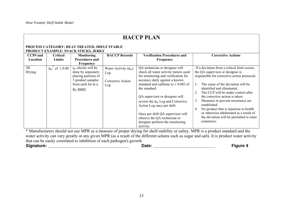## **HACCP PLAN**

### **PROCESS CATEGORY: HEAT TREATED, SHELF STABLE PRODUCT EXAMPLE: SNACK STICKS, JERKY**

|              |                      | I RODUCT EAAMH LE, SNACR STICRS, JERRY                                                                                                     |                                                           |                                                                                                                                                                                                                                                                                                                                                                                                                                          |                                                                                                                                                                                                                                                                                                                                                                                                                                                                                                |
|--------------|----------------------|--------------------------------------------------------------------------------------------------------------------------------------------|-----------------------------------------------------------|------------------------------------------------------------------------------------------------------------------------------------------------------------------------------------------------------------------------------------------------------------------------------------------------------------------------------------------------------------------------------------------------------------------------------------------|------------------------------------------------------------------------------------------------------------------------------------------------------------------------------------------------------------------------------------------------------------------------------------------------------------------------------------------------------------------------------------------------------------------------------------------------------------------------------------------------|
| $CCP#$ and   | <b>Critical</b>      | <b>Monitoring</b>                                                                                                                          | <b>HACCP</b> Records                                      | <b>Verification Procedures and</b>                                                                                                                                                                                                                                                                                                                                                                                                       | <b>Corrective Actions</b>                                                                                                                                                                                                                                                                                                                                                                                                                                                                      |
| Location     | Limits               | <b>Procedures and</b>                                                                                                                      |                                                           | Frequency                                                                                                                                                                                                                                                                                                                                                                                                                                |                                                                                                                                                                                                                                                                                                                                                                                                                                                                                                |
|              |                      | Frequency                                                                                                                                  |                                                           |                                                                                                                                                                                                                                                                                                                                                                                                                                          |                                                                                                                                                                                                                                                                                                                                                                                                                                                                                                |
| 3B<br>Drying | $a_w$ of $\leq 0.80$ | $a_w$ checks will be<br>done by separately<br>placing portions of<br>5 product samples<br>from each lot in a<br>$\underline{a}_{w}$ meter. | Water Activity $(a_w)$<br>Log<br>Corrective Action<br>Log | QA technician or designee will<br>check all water activity meters used<br>for monitoring and verification for<br>accuracy daily against a known<br>standard and calibrate to $\pm$ 0.003 of<br>the standard.<br>QA supervisor or designee will<br>review the $a_w$ Log and Corrective<br>Action Log once per shift.<br>Once per shift QA supervisor will<br>observe the QA technician or<br>designee perform the monitoring<br>activity. | If a deviation from a critical limit occurs,<br>the QA supervisor or designee is<br>responsible for corrective action protocols:<br>The cause of the deviation will be<br>identified and eliminated.<br>The CCP will be under control after<br>the corrective action is taken.<br>Measures to prevent recurrence are<br>3.<br>established.<br>No product that is injurious to health<br>4.<br>or otherwise adulterated as a result of<br>the deviation will be permitted to enter<br>commerce. |

\* Manufacturers should not use MPR as a measure of proper drying for shelf-stability or safety. MPR is a product standard and the water activity can vary greatly at any given MPR (as a result of the different solutes such as sugar and salt). It is product water activity that can be easily correlated to inhibition of each pathogen's growth.<br> **Signature:** Date:

**Signature: \_\_\_\_\_\_\_\_\_\_\_\_\_\_\_\_\_\_\_\_\_\_\_\_\_\_\_\_\_\_\_\_\_\_ Date: \_\_\_\_\_\_\_\_\_\_\_\_\_\_\_\_\_\_\_\_\_\_\_\_\_\_ Figure 4**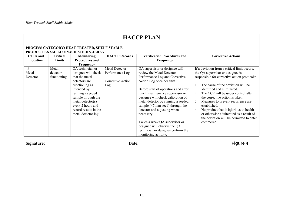| <b>HACCP PLAN</b>       |                                                                                      |                                                                                                                                                                                                                                                     |                                                               |                                                                                                                                                                                                                                                                                                                                                                                                                                                                                                                  |                                                                                                                                                                                                                                                                                                                                                                                                                                                                                                                  |  |  |  |
|-------------------------|--------------------------------------------------------------------------------------|-----------------------------------------------------------------------------------------------------------------------------------------------------------------------------------------------------------------------------------------------------|---------------------------------------------------------------|------------------------------------------------------------------------------------------------------------------------------------------------------------------------------------------------------------------------------------------------------------------------------------------------------------------------------------------------------------------------------------------------------------------------------------------------------------------------------------------------------------------|------------------------------------------------------------------------------------------------------------------------------------------------------------------------------------------------------------------------------------------------------------------------------------------------------------------------------------------------------------------------------------------------------------------------------------------------------------------------------------------------------------------|--|--|--|
|                         | PROCESS CATEGORY: HEAT TREATED, SHELF STABLE<br>PRODUCT EXAMPLE: SNACK STICKS, JERKY |                                                                                                                                                                                                                                                     |                                                               |                                                                                                                                                                                                                                                                                                                                                                                                                                                                                                                  |                                                                                                                                                                                                                                                                                                                                                                                                                                                                                                                  |  |  |  |
| $CCP#$ and<br>Location  | Critical<br>Limits                                                                   | Monitoring<br><b>Procedures and</b><br>Frequency                                                                                                                                                                                                    | <b>HACCP</b> Records                                          | <b>Verification Procedures and</b><br>Frequency                                                                                                                                                                                                                                                                                                                                                                                                                                                                  | <b>Corrective Actions</b>                                                                                                                                                                                                                                                                                                                                                                                                                                                                                        |  |  |  |
| 4P<br>Metal<br>Detector | Metal<br>detector<br>functioning.                                                    | QA technician or<br>designee will check<br>that the metal<br>detectors are<br>functioning as<br>intended by<br>running a seeded<br>sample through the<br>metal detector( $s$ )<br>every 2 hours and<br>record results in the<br>metal detector log. | Metal Detector<br>Performance Log<br>Corrective Action<br>Log | QA supervisor or designee will<br>review the Metal Detector<br>Performance Log and Corrective<br>Action Log once per shift.<br>Before start of operations and after<br>lunch, maintenance supervisor or<br>designee will check calibration of<br>metal detector by running a seeded<br>sample $(\leq 7 \text{ mm seed})$ through the<br>detector and adjusting when<br>necessary.<br>Twice a week QA supervisor or<br>designee will observe the QA<br>technician or designee perform the<br>monitoring activity. | If a deviation from a critical limit occurs,<br>the QA supervisor or designee is<br>responsible for corrective action protocols:<br>The cause of the deviation will be<br>identified and eliminated.<br>The CCP will be under control after<br>2 <sub>1</sub><br>the corrective action is taken.<br>3.<br>Measures to prevent recurrence are<br>established.<br>No product that is injurious to health<br>4.<br>or otherwise adulterated as a result of<br>the deviation will be permitted to enter<br>commerce. |  |  |  |

| Signature: | <b>Date</b> | тю<br>-- |
|------------|-------------|----------|
|------------|-------------|----------|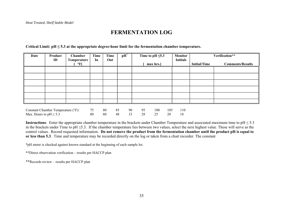## **FERMENTATION LOG**

| Date | Product                            | <b>Chamber</b>              | Time | <b>Time</b> | $\mathbf{p}$ H $^*$ |    | Time to pH $\leq$ 5.3 | <b>Monitor</b><br><b>Initials</b> |                     | Verification**          |
|------|------------------------------------|-----------------------------|------|-------------|---------------------|----|-----------------------|-----------------------------------|---------------------|-------------------------|
|      | ID                                 | Temperature<br>$\mathbf{P}$ | In   | Out         |                     |    | max hrs.              |                                   | <b>Initial/Time</b> | <b>Comments/Results</b> |
|      |                                    |                             |      |             |                     |    |                       |                                   |                     |                         |
|      |                                    |                             |      |             |                     |    |                       |                                   |                     |                         |
|      |                                    |                             |      |             |                     |    |                       |                                   |                     |                         |
|      |                                    |                             |      |             |                     |    |                       |                                   |                     |                         |
|      |                                    |                             |      |             |                     |    |                       |                                   |                     |                         |
|      |                                    |                             |      |             |                     |    |                       |                                   |                     |                         |
|      | Constant Chamber Temperature (°F): |                             | 75   | 80          | 85<br>90            | 95 | 100                   | 110<br>105                        |                     |                         |

**Critical Limit: pH ≤ 5.3 at the appropriate degree-hour limit for the fermentation chamber temperature.** 

Max. Hours to pH  $\leq 5.3$  80 60 48 33 28 25 20 18

**Instructions**: Enter the appropriate chamber temperature in the brackets under Chamber Temperature and associated maximum time to  $pH \le 5.3$ in the brackets under Time to  $pH \leq 5.3$ . If the chamber temperature lies between two values, select the next highest value. These will serve as the control values. Record requested information. **Do not remove the product from the fermentation chamber until the product pH is equal to or less than 5.3**. Time and temperature may be recorded directly on the log or taken from a chart recorder. The constant

\*pH meter is checked against known standard at the beginning of each sample lot.

\*\*Direct observation verification – results per HACCP plan

\*\*Records review – results per HACCP plan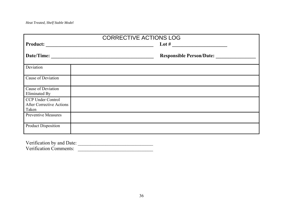|                                                               | CORRECTIVE ACTIONS LOG          |
|---------------------------------------------------------------|---------------------------------|
| <b>Product:</b>                                               | Lot $#$                         |
| Date/Time:                                                    | <b>Responsible Person/Date:</b> |
| Deviation                                                     |                                 |
| Cause of Deviation                                            |                                 |
| Cause of Deviation<br>Eliminated By                           |                                 |
| CCP Under Control<br><b>After Corrective Actions</b><br>Taken |                                 |
| <b>Preventive Measures</b>                                    |                                 |
| <b>Product Disposition</b>                                    |                                 |

Verification by and Date: \_\_\_\_\_\_\_\_\_\_\_\_\_\_\_\_\_\_\_\_\_\_\_\_\_\_\_\_\_\_ Verification Comments: \_\_\_\_\_\_\_\_\_\_\_\_\_\_\_\_\_\_\_\_\_\_\_\_\_\_\_\_\_\_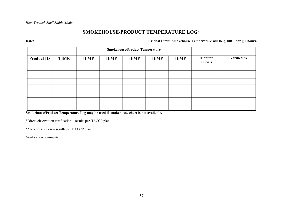### **SMOKEHOUSE/PRODUCT TEMPERATURE LOG\***

**Date:** Critical Limit: Smokehouse Temperature will be ≥ 180°F for ≥ 2 hours.

|                   | <b>Smokehouse/Product Temperature</b> |             |             |             |             |             |                                   |             |
|-------------------|---------------------------------------|-------------|-------------|-------------|-------------|-------------|-----------------------------------|-------------|
| <b>Product ID</b> | <b>TIME</b>                           | <b>TEMP</b> | <b>TEMP</b> | <b>TEMP</b> | <b>TEMP</b> | <b>TEMP</b> | <b>Monitor</b><br><b>Initials</b> | Verified by |
|                   |                                       |             |             |             |             |             |                                   |             |
|                   |                                       |             |             |             |             |             |                                   |             |
|                   |                                       |             |             |             |             |             |                                   |             |
|                   |                                       |             |             |             |             |             |                                   |             |
|                   |                                       |             |             |             |             |             |                                   |             |
|                   |                                       |             |             |             |             |             |                                   |             |
|                   |                                       |             |             |             |             |             |                                   |             |

**Smokehouse/Product Temperature Log may be used if smokehouse chart is not available.** 

\*Direct observation verification œ results per HACCP plan

\*\* Records review - results per HACCP plan

Verification comments: \_\_\_\_\_\_\_\_\_\_\_\_\_\_\_\_\_\_\_\_\_\_\_\_\_\_\_\_\_\_\_\_\_\_\_\_\_\_\_\_\_\_\_\_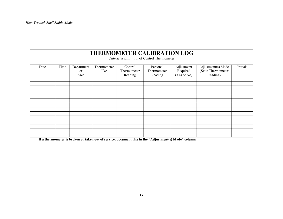|      | THERMOMETER CALIBRATION LOG<br>Criteria Within $\pm 1$ °F of Control Thermometer |               |             |             |             |             |                    |                 |
|------|----------------------------------------------------------------------------------|---------------|-------------|-------------|-------------|-------------|--------------------|-----------------|
| Date | Time                                                                             | Department    | Thermometer | Control     | Personal    | Adjustment  | Adjustment(s) Made | <b>Initials</b> |
|      |                                                                                  | <sub>or</sub> | ID#         | Thermometer | Thermometer | Required    | (State Thermometer |                 |
|      |                                                                                  | Area          |             | Reading     | Reading     | (Yes or No) | Reading)           |                 |
|      |                                                                                  |               |             |             |             |             |                    |                 |
|      |                                                                                  |               |             |             |             |             |                    |                 |
|      |                                                                                  |               |             |             |             |             |                    |                 |
|      |                                                                                  |               |             |             |             |             |                    |                 |
|      |                                                                                  |               |             |             |             |             |                    |                 |
|      |                                                                                  |               |             |             |             |             |                    |                 |
|      |                                                                                  |               |             |             |             |             |                    |                 |
|      |                                                                                  |               |             |             |             |             |                    |                 |
|      |                                                                                  |               |             |             |             |             |                    |                 |
|      |                                                                                  |               |             |             |             |             |                    |                 |
|      |                                                                                  |               |             |             |             |             |                    |                 |
|      |                                                                                  |               |             |             |             |             |                    |                 |
|      |                                                                                  |               |             |             |             |             |                    |                 |
|      |                                                                                  |               |             |             |             |             |                    |                 |

**If a thermometer is broken or taken out of service, document this in the "Adjustment(s) Made" column.**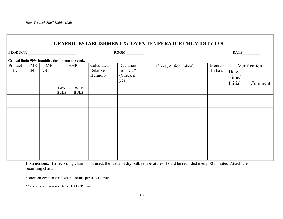|                                                          | <b>GENERIC ESTABLISHMENT X: OVEN TEMPERATURE/HUMIDITY LOG</b> |                           |                           |                                                   |                                    |                                            |                       |                     |                                   |                         |
|----------------------------------------------------------|---------------------------------------------------------------|---------------------------|---------------------------|---------------------------------------------------|------------------------------------|--------------------------------------------|-----------------------|---------------------|-----------------------------------|-------------------------|
| PRODUCT:<br>$\begin{tabular}{c} \bf ROOM: \end{tabular}$ |                                                               |                           |                           |                                                   |                                    |                                            |                       |                     | $\textbf{DATE:}\_\_\_\_\_\_\_\_\$ |                         |
|                                                          |                                                               |                           |                           | Critical limit: 90% humidity throughout the cook. |                                    |                                            |                       |                     |                                   |                         |
| Product<br>ID                                            | <b>TIME</b><br>IN                                             | <b>TIME</b><br><b>OUT</b> |                           | <b>TEMP</b>                                       | Calculated<br>Relative<br>Humidity | Deviation<br>from CL?<br>(Check if<br>yes) | If Yes, Action Taken? | Monitor<br>Initials | Date/<br>Time/<br>Initial         | Verification<br>Comment |
|                                                          |                                                               |                           | <b>DRY</b><br><b>BULB</b> | <b>WET</b><br><b>BULB</b>                         |                                    |                                            |                       |                     |                                   |                         |
|                                                          |                                                               |                           |                           |                                                   |                                    |                                            |                       |                     |                                   |                         |
|                                                          |                                                               |                           |                           |                                                   |                                    |                                            |                       |                     |                                   |                         |
|                                                          |                                                               |                           |                           |                                                   |                                    |                                            |                       |                     |                                   |                         |
|                                                          |                                                               |                           |                           |                                                   |                                    |                                            |                       |                     |                                   |                         |
|                                                          |                                                               |                           |                           |                                                   |                                    |                                            |                       |                     |                                   |                         |

**Instructions:** If a recording chart is not used, the wet and dry bulb temperatures should be recorded every 30 minutes. Attach the recording chart.

\*Direct observation verification œ results per HACCP plan

\*\*Records review œ results per HACCP plan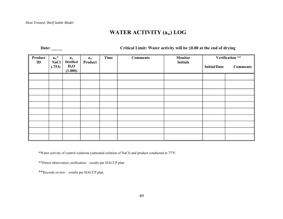## **WATER ACTIVITY (aw) LOG**

 **Date: \_\_\_\_\_ Critical Limit: Water activity will be ≤0.80 at the end of drying** 

| Product<br>ID | $a_w$ *<br><b>NaCl</b> | $a_w$<br><b>Distilled</b> | $\mathbf{a}_{\mathbf{w}}$<br>Product | Time | <b>Comments</b> | <b>Monitor</b><br><b>Initials</b> |                     | Verification ** |
|---------------|------------------------|---------------------------|--------------------------------------|------|-----------------|-----------------------------------|---------------------|-----------------|
|               | (.753)                 | $H_2O$<br>(1.000)         |                                      |      |                 |                                   | <b>Initial/Date</b> | <b>Comments</b> |
|               |                        |                           |                                      |      |                 |                                   |                     |                 |
|               |                        |                           |                                      |      |                 |                                   |                     |                 |
|               |                        |                           |                                      |      |                 |                                   |                     |                 |
|               |                        |                           |                                      |      |                 |                                   |                     |                 |
|               |                        |                           |                                      |      |                 |                                   |                     |                 |
|               |                        |                           |                                      |      |                 |                                   |                     |                 |
|               |                        |                           |                                      |      |                 |                                   |                     |                 |
|               |                        |                           |                                      |      |                 |                                   |                     |                 |
|               |                        |                           |                                      |      |                 |                                   |                     |                 |
|               |                        |                           |                                      |      |                 |                                   |                     |                 |

\*Water activity of control solutions (saturated solution of NaCl) and product conducted at 77°F.

\*\*Direct observation verification - results per HACCP plan

\*\*Records review - results per HACCP plan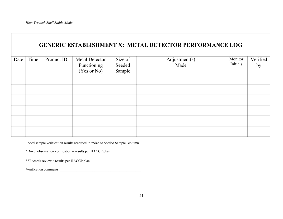|      |      |            |                       |         | <b>GENERIC ESTABLISHMENT X: METAL DETECTOR PERFORMANCE LOG</b> |          |          |
|------|------|------------|-----------------------|---------|----------------------------------------------------------------|----------|----------|
| Date | Time | Product ID | <b>Metal Detector</b> | Size of | Adjustment(s)                                                  | Monitor  | Verified |
|      |      |            | Functioning           | Seeded  | Made                                                           | Initials | by       |
|      |      |            | (Yes or No)           | Sample  |                                                                |          |          |
|      |      |            |                       |         |                                                                |          |          |
|      |      |            |                       |         |                                                                |          |          |
|      |      |            |                       |         |                                                                |          |          |
|      |      |            |                       |         |                                                                |          |          |
|      |      |            |                       |         |                                                                |          |          |
|      |      |            |                       |         |                                                                |          |          |

+Seed sample verification results recorded in "Size of Seeded Sample" column.

\*Direct observation verification - results per HACCP plan

\*\*Records review **-** results per HACCP plan

Verification comments: \_\_\_\_\_\_\_\_\_\_\_\_\_\_\_\_\_\_\_\_\_\_\_\_\_\_\_\_\_\_\_\_\_\_\_\_\_\_\_\_\_\_\_\_\_